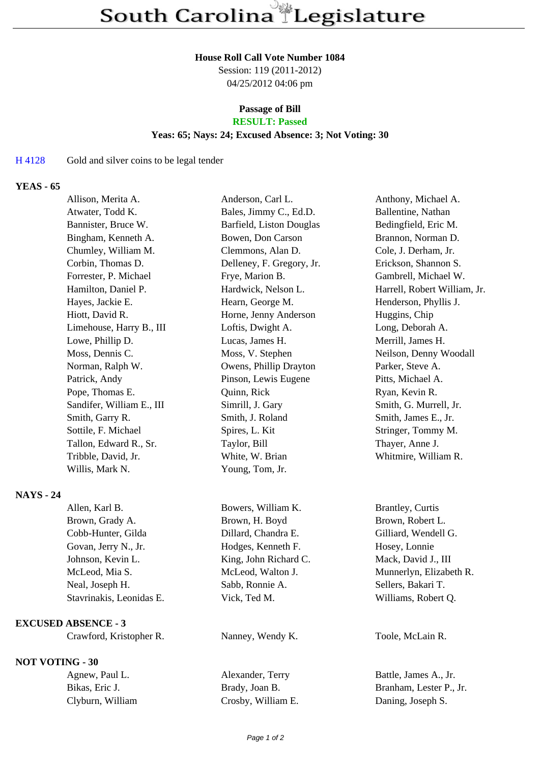#### **House Roll Call Vote Number 1084**

Session: 119 (2011-2012) 04/25/2012 04:06 pm

# **Passage of Bill**

# **RESULT: Passed**

# **Yeas: 65; Nays: 24; Excused Absence: 3; Not Voting: 30**

## H 4128 Gold and silver coins to be legal tender

### **YEAS - 65**

| Allison, Merita A.        | Anderson, Carl L.         | Anthony, Michael A.          |
|---------------------------|---------------------------|------------------------------|
| Atwater, Todd K.          | Bales, Jimmy C., Ed.D.    | Ballentine, Nathan           |
| Bannister, Bruce W.       | Barfield, Liston Douglas  | Bedingfield, Eric M.         |
| Bingham, Kenneth A.       | Bowen, Don Carson         | Brannon, Norman D.           |
| Chumley, William M.       | Clemmons, Alan D.         | Cole, J. Derham, Jr.         |
| Corbin, Thomas D.         | Delleney, F. Gregory, Jr. | Erickson, Shannon S.         |
| Forrester, P. Michael     | Frye, Marion B.           | Gambrell, Michael W.         |
| Hamilton, Daniel P.       | Hardwick, Nelson L.       | Harrell, Robert William, Jr. |
| Hayes, Jackie E.          | Hearn, George M.          | Henderson, Phyllis J.        |
| Hiott, David R.           | Horne, Jenny Anderson     | Huggins, Chip                |
| Limehouse, Harry B., III  | Loftis, Dwight A.         | Long, Deborah A.             |
| Lowe, Phillip D.          | Lucas, James H.           | Merrill, James H.            |
| Moss, Dennis C.           | Moss, V. Stephen          | Neilson, Denny Woodall       |
| Norman, Ralph W.          | Owens, Phillip Drayton    | Parker, Steve A.             |
| Patrick, Andy             | Pinson, Lewis Eugene      | Pitts, Michael A.            |
| Pope, Thomas E.           | Quinn, Rick               | Ryan, Kevin R.               |
| Sandifer, William E., III | Simrill, J. Gary          | Smith, G. Murrell, Jr.       |
| Smith, Garry R.           | Smith, J. Roland          | Smith, James E., Jr.         |
| Sottile, F. Michael       | Spires, L. Kit            | Stringer, Tommy M.           |
| Tallon, Edward R., Sr.    | Taylor, Bill              | Thayer, Anne J.              |
| Tribble, David, Jr.       | White, W. Brian           | Whitmire, William R.         |
| Willis, Mark N.           | Young, Tom, Jr.           |                              |
|                           |                           |                              |

### **NAYS - 24**

| Allen, Karl B.           | Bowers, William K.    | <b>Brantley, Curtis</b> |
|--------------------------|-----------------------|-------------------------|
| Brown, Grady A.          | Brown, H. Boyd        | Brown, Robert L.        |
| Cobb-Hunter, Gilda       | Dillard, Chandra E.   | Gilliard, Wendell G.    |
| Govan, Jerry N., Jr.     | Hodges, Kenneth F.    | Hosey, Lonnie           |
| Johnson, Kevin L.        | King, John Richard C. | Mack, David J., III     |
| McLeod, Mia S.           | McLeod, Walton J.     | Munnerlyn, Elizabeth R. |
| Neal, Joseph H.          | Sabb, Ronnie A.       | Sellers, Bakari T.      |
| Stavrinakis, Leonidas E. | Vick, Ted M.          | Williams, Robert Q.     |
|                          |                       |                         |

### **EXCUSED ABSENCE - 3**

Crawford, Kristopher R. Nanney, Wendy K. Toole, McLain R.

**NOT VOTING - 30**

| Agnew, Paul L.   | Alexander, Terry   | Battle, James A., Jr.   |
|------------------|--------------------|-------------------------|
| Bikas, Eric J.   | Brady, Joan B.     | Branham, Lester P., Jr. |
| Clyburn, William | Crosby, William E. | Daning, Joseph S.       |